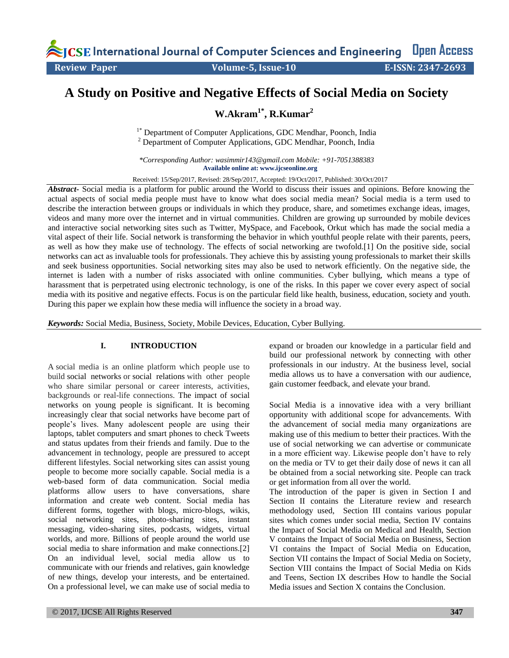International Journal of Computer Sciences and Engineering **Open Access Review Paper 19. In the Volume-5, Issue-10** E-ISSN: 2347-2693

# **A Study on Positive and Negative Effects of Social Media on Society**

**W.Akram1\*, R.Kumar<sup>2</sup>**

<sup>1\*</sup> Department of Computer Applications, GDC Mendhar, Poonch, India <sup>2</sup> Department of Computer Applications, GDC Mendhar, Poonch, India

*\*Corresponding Author: [wasimmir143@gmail.com](mailto:wasimmir143@gmail.com) Mobile: +91-7051388383* **Available online at: www.ijcseonline.org** 

Received: 15/Sep/2017, Revised: 28/Sep/2017, Accepted: 19/Oct/2017, Published: 30/Oct/2017

*Abstract-* Social media is a platform for public around the World to discuss their issues and opinions. Before knowing the actual aspects of social media people must have to know what does social media mean? Social media is a term used to describe the interaction between groups or individuals in which they produce, share, and sometimes exchange ideas, images, videos and many more over the internet and in virtual communities. Children are growing up surrounded by mobile devices and interactive social networking sites such as Twitter, MySpace, and Facebook, Orkut which has made the social media a vital aspect of their life. Social network is transforming the behavior in which youthful people relate with their parents, peers, as well as how they make use of technology. The effects of social networking are twofold.[1] On the positive side, social networks can act as invaluable tools for professionals. They achieve this by assisting young professionals to market their skills and seek business opportunities. Social networking sites may also be used to network efficiently. On the negative side, the internet is laden with a number of risks associated with online communities. Cyber bullying, which means a type of harassment that is perpetrated using electronic technology, is one of the risks. In this paper we cover every aspect of social media with its positive and negative effects. Focus is on the particular field like health, business, education, society and youth. During this paper we explain how these media will influence the society in a broad way.

*Keywords:* Social Media, Business, Society, Mobile Devices, Education, Cyber Bullying.

#### **I. INTRODUCTION**

A social media is an online platform which people use to build social networks or social relations with other people who share similar personal or career interests, activities, backgrounds or real-life connections. The impact of social networks on young people is significant. It is becoming increasingly clear that social networks have become part of people's lives. Many adolescent people are using their laptops, tablet computers and smart phones to check Tweets and status updates from their friends and family. Due to the advancement in technology, people are pressured to accept different lifestyles. Social networking sites can assist young people to become more socially capable. Social media is a web-based form of data communication. Social media platforms allow users to have conversations, share information and create web content. Social media has different forms, together with blogs, micro-blogs, wikis, social networking sites, photo-sharing sites, instant messaging, video-sharing sites, podcasts, widgets, virtual worlds, and more. Billions of people around the world use social media to share information and make connections.[2] On an individual level, social media allow us to communicate with our friends and relatives, gain knowledge of new things, develop your interests, and be entertained. On a professional level, we can make use of social media to

© 2017, IJCSE All Rights Reserved **347**

expand or broaden our knowledge in a particular field and build our professional network by connecting with other professionals in our industry. At the business level, social media allows us to have a conversation with our audience, gain customer feedback, and elevate your brand.

Social Media is a innovative idea with a very brilliant opportunity with additional scope for advancements. With the advancement of social media many organizations are making use of this medium to better their practices. With the use of social networking we can advertise or communicate in a more efficient way. Likewise people don't have to rely on the media or TV to get their daily dose of news it can all be obtained from a social networking site. People can track or get information from all over the world.

The introduction of the paper is given in Section I and Section II contains the Literature review and research methodology used, Section III contains various popular sites which comes under social media, Section IV contains the Impact of Social Media on Medical and Health, Section V contains the Impact of Social Media on Business, Section VI contains the Impact of Social Media on Education, Section VII contains the Impact of Social Media on Society, Section VIII contains the Impact of Social Media on Kids and Teens, Section IX describes How to handle the Social Media issues and Section X contains the Conclusion.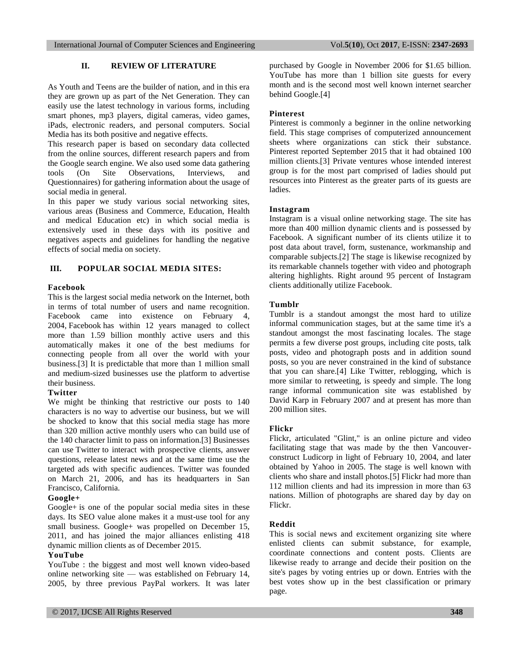#### **II. REVIEW OF LITERATURE**

As Youth and Teens are the builder of nation, and in this era they are grown up as part of the Net Generation. They can easily use the latest technology in various forms, including smart phones, mp3 players, digital cameras, video games, iPads, electronic readers, and personal computers. Social Media has its both positive and negative effects.

This research paper is based on secondary data collected from the online sources, different research papers and from the Google search engine. We also used some data gathering tools (On Site Observations, Interviews, and Questionnaires) for gathering information about the usage of social media in general.

In this paper we study various social networking sites, various areas (Business and Commerce, Education, Health and medical Education etc) in which social media is extensively used in these days with its positive and negatives aspects and guidelines for handling the negative effects of social media on society.

#### **III. POPULAR SOCIAL MEDIA SITES:**

## **Facebook**

This is the largest social media network on the Internet, both in terms of total number of users and name recognition. Facebook came into existence on February 4, 2004, [Facebook](https://www.facebook.com/) has within 12 years managed to collect more than 1.59 billion monthly active users and this automatically makes it one of the best mediums for connecting people from all over the world with your business.[3] It is predictable that more than 1 million small and medium-sized businesses use the platform to advertise their business.

## **Twitter**

We might be thinking that restrictive our posts to 140 characters is no way to advertise our business, but we will be shocked to know that this social media stage has more than 320 million active monthly users who can build use of the 140 character limit to pass on information.[3] Businesses can use [Twitter](https://twitter.com/) to interact with prospective clients, answer questions, release latest news and at the same time use the targeted ads with specific audiences. Twitter was founded on March 21, 2006, and has its headquarters in San Francisco, California.

#### **Google+**

[Google+](https://plus.google.com/) is one of the popular social media sites in these days. Its SEO value alone makes it a must-use tool for any small business. Google+ was propelled on December 15, 2011, and has joined the major alliances enlisting 418 dynamic million clients as of December 2015.

#### **YouTube**

YouTube : the biggest and most well known video-based online networking site — was established on February 14, 2005, by three previous PayPal workers. It was later

purchased by Google in November 2006 for \$1.65 billion. YouTube has more than 1 billion site guests for every month and is the second most well known internet searcher behind Google.[4]

#### **Pinterest**

Pinterest is commonly a beginner in the online networking field. This stage comprises of computerized announcement sheets where organizations can stick their substance. Pinterest reported September 2015 that it had obtained 100 million clients.[3] Private ventures whose intended interest group is for the most part comprised of ladies should put resources into Pinterest as the greater parts of its guests are ladies.

#### **Instagram**

Instagram is a visual online networking stage. The site has more than 400 million dynamic clients and is possessed by Facebook. A significant number of its clients utilize it to post data about travel, form, sustenance, workmanship and comparable subjects.[2] The stage is likewise recognized by its remarkable channels together with video and photograph altering highlights. Right around 95 percent of Instagram clients additionally utilize Facebook.

#### **Tumblr**

Tumblr is a standout amongst the most hard to utilize informal communication stages, but at the same time it's a standout amongst the most fascinating locales. The stage permits a few diverse post groups, including cite posts, talk posts, video and photograph posts and in addition sound posts, so you are never constrained in the kind of substance that you can share.[4] Like Twitter, reblogging, which is more similar to retweeting, is speedy and simple. The long range informal communication site was established by David Karp in February 2007 and at present has more than 200 million sites.

#### **Flickr**

Flickr, articulated "Glint," is an online picture and video facilitating stage that was made by the then Vancouverconstruct Ludicorp in light of February 10, 2004, and later obtained by Yahoo in 2005. The stage is well known with clients who share and install photos.[5] Flickr had more than 112 million clients and had its impression in more than 63 nations. Million of photographs are shared day by day on Flickr.

#### **Reddit**

This is social news and excitement organizing site where enlisted clients can submit substance, for example, coordinate connections and content posts. Clients are likewise ready to arrange and decide their position on the site's pages by voting entries up or down. Entries with the best votes show up in the best classification or primary page.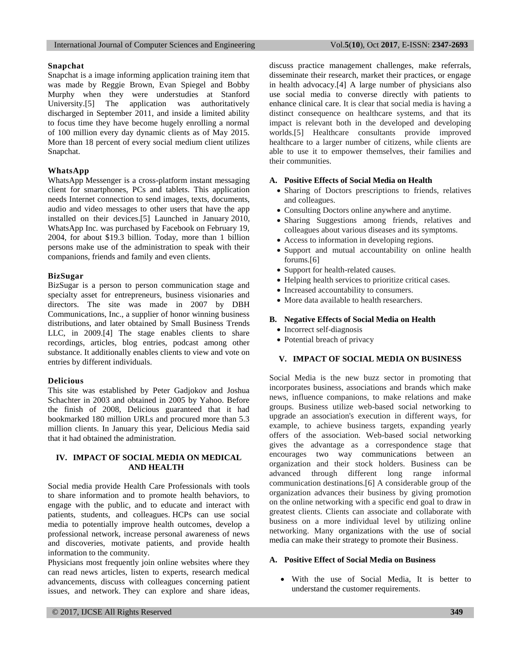#### **Snapchat**

Snapchat is a image informing application training item that was made by Reggie Brown, Evan Spiegel and Bobby Murphy when they were understudies at Stanford University.[5] The application was authoritatively discharged in September 2011, and inside a limited ability to focus time they have become hugely enrolling a normal of 100 million every day dynamic clients as of May 2015. More than 18 percent of every social medium client utilizes Snapchat.

# **WhatsApp**

[WhatsApp](https://www.whatsapp.com/) Messenger is a cross-platform instant messaging client for smartphones, PCs and tablets. This application needs Internet connection to send images, texts, documents, audio and video messages to other users that have the app installed on their devices.[5] Launched in January 2010, WhatsApp Inc. was purchased by Facebook on February 19, 2004, for about \$19.3 billion. Today, more than 1 billion persons make use of the administration to speak with their companions, friends and family and even clients.

## **BizSugar**

BizSugar is a person to person communication stage and specialty asset for entrepreneurs, business visionaries and directors. The site was made in 2007 by DBH Communications, Inc., a supplier of honor winning business distributions, and later obtained by Small Business Trends LLC, in 2009.[4] The stage enables clients to share recordings, articles, blog entries, podcast among other substance. It additionally enables clients to view and vote on entries by different individuals.

#### **Delicious**

This site was established by Peter Gadjokov and Joshua Schachter in 2003 and obtained in 2005 by Yahoo. Before the finish of 2008, Delicious guaranteed that it had bookmarked 180 million URLs and procured more than 5.3 million clients. In January this year, Delicious Media said that it had obtained the administration.

## **IV. IMPACT OF SOCIAL MEDIA ON MEDICAL AND HEALTH**

Social media provide Health Care Professionals with tools to share information and to promote health behaviors, to engage with the public, and to educate and interact with patients, students, and colleagues. HCPs can use social media to potentially improve health outcomes, develop a professional network, increase personal awareness of news and discoveries, motivate patients, and provide health information to the community.

Physicians most frequently join online websites where they can read news articles, listen to experts, research medical advancements, discuss with colleagues concerning patient issues, and network. They can explore and share ideas, discuss practice management challenges, make referrals, disseminate their research, market their practices, or engage in health advocacy.[4] A large number of physicians also use social media to converse directly with patients to enhance clinical care. It is clear that social media is having a distinct consequence on healthcare systems, and that its impact is relevant both in the developed and developing worlds.[5] Healthcare consultants provide improved healthcare to a larger number of citizens, while clients are able to use it to empower themselves, their families and their communities.

## **A. Positive Effects of Social Media on Health**

- Sharing of Doctors prescriptions to friends, relatives and colleagues.
- Consulting Doctors online anywhere and anytime.
- Sharing Suggestions among friends, relatives and colleagues about various diseases and its symptoms.
- Access to information in developing regions.
- Support and mutual accountability on online health forums.[6]
- Support for health-related causes.
- Helping health services to prioritize critical cases.
- Increased accountability to consumers.
- More data available to health researchers.

# **B. Negative Effects of Social Media on Health**

- Incorrect self-diagnosis
- Potential breach of privacy

# **V. IMPACT OF SOCIAL MEDIA ON BUSINESS**

Social Media is the new buzz sector in promoting that incorporates business, associations and brands which make news, influence companions, to make relations and make groups. Business utilize web-based social networking to upgrade an association's execution in different ways, for example, to achieve business targets, expanding yearly offers of the association. Web-based social networking gives the advantage as a correspondence stage that encourages two way communications between an organization and their stock holders. Business can be advanced through different long range informal communication destinations.[6] A considerable group of the organization advances their business by giving promotion on the online networking with a specific end goal to draw in greatest clients. Clients can associate and collaborate with business on a more individual level by utilizing online networking. Many organizations with the use of social media can make their strategy to promote their Business.

## **A. Positive Effect of Social Media on Business**

 With the use of Social Media, It is better to understand the customer requirements.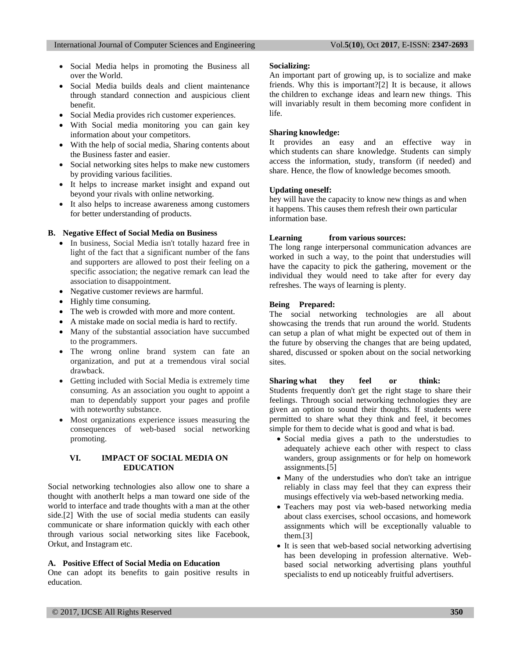- Social Media helps in promoting the Business all over the World.
- Social Media builds deals and client maintenance through standard connection and auspicious client benefit.
- Social Media provides rich customer experiences.
- With Social media monitoring you can gain key information about your competitors.
- With the help of social media, Sharing contents about the Business faster and easier.
- Social networking sites helps to make new customers by providing various facilities.
- It helps to increase market insight and expand out beyond your rivals with online networking.
- It also helps to increase awareness among customers for better understanding of products.

#### **B. Negative Effect of Social Media on Business**

- In business, Social Media isn't totally hazard free in light of the fact that a significant number of the fans and supporters are allowed to post their feeling on a specific association; the negative remark can lead the association to disappointment.
- Negative customer reviews are harmful.
- Highly time consuming.
- The web is crowded with more and more content.
- A mistake made on social media is hard to rectify.
- Many of the substantial association have succumbed to the programmers.
- The wrong online brand system can fate an organization, and put at a tremendous viral social drawback.
- Getting included with Social Media is extremely time consuming. As an association you ought to appoint a man to dependably support your pages and profile with noteworthy substance.
- Most organizations experience issues measuring the consequences of web-based social networking promoting.

## **VI. IMPACT OF SOCIAL MEDIA ON EDUCATION**

Social networking technologies also allow one to share a thought with anotherIt helps a man toward one side of the world to interface and trade thoughts with a man at the other side.[2] With the use of social media students can easily communicate or share information quickly with each other through various social networking sites like Facebook, Orkut, and Instagram etc.

#### **A. Positive Effect of Social Media on Education**

One can adopt its benefits to gain positive results in education.

#### **Socializing:**

An important part of growing up, is to socialize and make friends. Why this is important?[2] It is because, it allows the [children](https://www.careerindia.com/topic/children) to exchange ideas and [learn](https://www.careerindia.com/topic/learning) new things. This will invariably result in them becoming more confident in life.

## **Sharing knowledge:**

It provides an easy and an effective way in which [students](https://www.careerindia.com/tips/students/) can share knowledge. Students can simply access the information, study, transform (if needed) and share. Hence, the flow of knowledge becomes smooth.

#### **Updating oneself:**

hey will have the capacity to know new things as and when it happens. This causes them refresh their own particular information base.

## **Learning from various sources:**

The long range interpersonal communication advances are worked in such a way, to the point that understudies will have the capacity to pick the gathering, movement or the individual they would need to take after for every day refreshes. The ways of learning is plenty.

#### **Being Prepared:**

The social networking technologies are all about showcasing the trends that run around the world. Students can setup a plan of what might be expected out of them in the future by observing the changes that are being updated, shared, discussed or spoken about on the social networking sites.

## **Sharing what they feel or think:**

Students frequently don't get the right stage to share their feelings. Through social networking technologies they are given an option to sound their thoughts. If students were permitted to share what they think and feel, it becomes simple for them to decide what is good and what is bad.

- Social media gives a path to the understudies to adequately achieve each other with respect to class wanders, group assignments or for help on homework assignments.[5]
- Many of the understudies who don't take an intrigue reliably in class may feel that they can express their musings effectively via web-based networking media.
- Teachers may post via web-based networking media about class exercises, school occasions, and homework assignments which will be exceptionally valuable to them.[3]
- It is seen that web-based social networking advertising has been developing in profession alternative. Webbased social networking advertising plans youthful specialists to end up noticeably fruitful advertisers.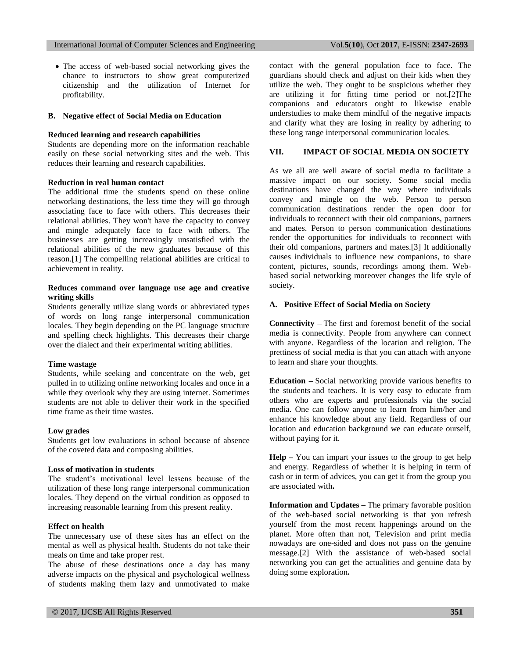The access of web-based social networking gives the chance to instructors to show great computerized citizenship and the utilization of Internet for profitability.

## **B. Negative effect of Social Media on Education**

## **Reduced learning and research capabilities**

Students are depending more on the information reachable easily on these social networking sites and the web. This reduces their learning and research capabilities.

#### **Reduction in real human contact**

The additional time the students spend on these online networking destinations, the less time they will go through associating face to face with others. This decreases their relational abilities. They won't have the capacity to convey and mingle adequately face to face with others. The businesses are getting increasingly unsatisfied with the relational abilities of the new graduates because of this reason.[1] The compelling relational abilities are critical to achievement in reality.

## **Reduces command over language use age and creative writing skills**

Students generally utilize slang words or abbreviated types of words on long range interpersonal communication locales. They begin depending on the PC language structure and spelling check highlights. This decreases their charge over the dialect and their experimental writing abilities.

#### **Time wastage**

Students, while seeking and concentrate on the web, get pulled in to utilizing online networking locales and once in a while they overlook why they are using internet. Sometimes students are not able to deliver their work in the specified time frame as their time wastes.

# **Low grades**

Students get low evaluations in school because of absence of the coveted data and composing abilities.

#### **Loss of motivation in students**

The student's motivational level lessens because of the utilization of these long range interpersonal communication locales. They depend on the virtual condition as opposed to increasing reasonable learning from this present reality.

## **Effect on health**

The unnecessary use of these sites has an effect on the mental as well as physical health. Students do not take their meals on time and take proper rest.

The abuse of these destinations once a day has many adverse impacts on the physical and psychological wellness of students making them lazy and unmotivated to make

contact with the general population face to face. The guardians should check and adjust on their kids when they utilize the web. They ought to be suspicious whether they are utilizing it for fitting time period or not.[2]The companions and educators ought to likewise enable understudies to make them mindful of the negative impacts and clarify what they are losing in reality by adhering to these long range interpersonal communication locales.

# **VII. IMPACT OF SOCIAL MEDIA ON SOCIETY**

As we all are well aware of social media to facilitate a massive impact on our society. Some social media destinations have changed the way where individuals convey and mingle on the web. Person to person communication destinations render the open door for individuals to reconnect with their old companions, partners and mates. Person to person communication destinations render the opportunities for individuals to reconnect with their old companions, partners and mates.[3] It additionally causes individuals to influence new companions, to share content, pictures, sounds, recordings among them. Webbased social networking moreover changes the life style of society.

## **A. Positive Effect of Social Media on Society**

**Connectivity –** The first and foremost benefit of the social media is connectivity. People from anywhere can connect with anyone. Regardless of the location and religion. The prettiness of social media is that you can attach with anyone to learn and share your thoughts.

**Education –** Social networking provide various [benefits to](https://www.techmaish.com/positives-negatives-social-networking-portals-students/)  [the students](https://www.techmaish.com/positives-negatives-social-networking-portals-students/) and teachers. It is very easy to educate from others who are experts and professionals via the social media. One can follow anyone to learn from him/her and enhance his knowledge about any field. Regardless of our location and education background we can educate ourself, without paying for it.

**Help –** You can impart your issues to the group to get help and energy. Regardless of whether it is helping in term of cash or in term of advices, you can get it from the group you are associated with**.** 

**Information and Updates –** The primary favorable position of the web-based social networking is that you refresh yourself from the most recent happenings around on the planet. More often than not, Television and print media nowadays are one-sided and does not pass on the genuine message.[2] With the assistance of web-based social networking you can get the actualities and genuine data by doing some exploration**.**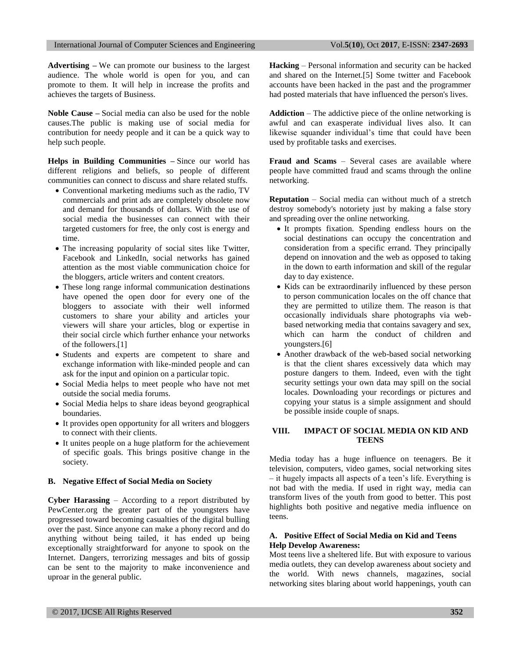**Advertising –** We can [promote our business to the largest](https://www.techmaish.com/why-you-need-social-media-promotion-for-successful-business/)  [audience.](https://www.techmaish.com/why-you-need-social-media-promotion-for-successful-business/) The whole world is open for you, and can promote to them. It will help in increase the profits and achieves the targets of Business.

**Noble Cause –** Social media can also be used for the noble causes.The public is making use of social media for contribution for needy people and it can be a quick way to help such people.

**Helps in Building Communities –** Since our world has different religions and beliefs, so people of different communities can connect to discuss and share related stuffs.

- Conventional marketing mediums such as the radio, TV commercials and print ads are completely obsolete now and demand for thousands of dollars. With the use of social media the businesses can connect with their targeted customers for free, the only cost is energy and time.
- The increasing popularity of social sites like Twitter, Facebook and LinkedIn, social networks has gained attention as the most viable communication choice for the bloggers, article writers and content creators.
- These long range informal communication destinations have opened the open door for every one of the bloggers to associate with their well informed customers to share your ability and articles your viewers will share your articles, blog or expertise in their social circle which further enhance your networks of the followers.[1]
- Students and experts are competent to share and exchange information with like-minded people and can ask for the input and opinion on a particular topic.
- Social Media helps to meet people who have not met outside the social media forums.
- Social Media helps to share ideas beyond geographical boundaries.
- It provides open opportunity for all writers and bloggers to connect with their clients.
- It unites people on a huge platform for the achievement of specific goals. This brings positive change in the society.

#### **B. Negative Effect of Social Media on Society**

**Cyber Harassing** – According to a report distributed by PewCenter.org the greater part of the youngsters have progressed toward becoming casualties of the digital bulling over the past. Since anyone can make a phony record and do anything without being tailed, it has ended up being exceptionally straightforward for anyone to spook on the Internet. Dangers, terrorizing messages and bits of gossip can be sent to the majority to make inconvenience and uproar in the general public.

**Hacking** – Personal information and security can be hacked and shared on the Internet.[5] Some twitter and Facebook accounts have been hacked in the past and the programmer had posted materials that have influenced the person's lives.

**Addiction** – The addictive piece of the online networking is awful and can exasperate individual lives also. It can likewise squander individual's time that could have been used by profitable tasks and exercises.

**Fraud and Scams** – Several cases are available where people have committed fraud and scams through the online networking.

**Reputation** – Social media can without much of a stretch destroy somebody's notoriety just by making a false story and spreading over the online networking.

- It prompts fixation. Spending endless hours on the social destinations can occupy the concentration and consideration from a specific errand. They principally depend on innovation and the web as opposed to taking in the down to earth information and skill of the regular day to day existence.
- Kids can be extraordinarily influenced by these person to person communication locales on the off chance that they are permitted to utilize them. The reason is that occasionally individuals share photographs via webbased networking media that contains savagery and sex, which can harm the conduct of children and youngsters.[6]
- Another drawback of the web-based social networking is that the client shares excessively data which may posture dangers to them. Indeed, even with the tight security settings your own data may spill on the social locales. Downloading your recordings or pictures and copying your status is a simple assignment and should be possible inside couple of snaps.

# **VIII. IMPACT OF SOCIAL MEDIA ON KID AND TEENS**

Media today has a huge influence on teenagers. Be it television, computers, video games, social networking sites – it hugely impacts all aspects of a teen's life. Everything is not bad with the media. If used in right way, media can transform lives of the youth from good to better. This post highlights both positive and negative media influence on teens.

# **A. Positive Effect of Social Media on Kid and Teens Help Develop Awareness:**

Most teens live a sheltered life. But with exposure to various media outlets, they can develop awareness about society and the world. With news channels, magazines, social networking sites blaring about world happenings, youth can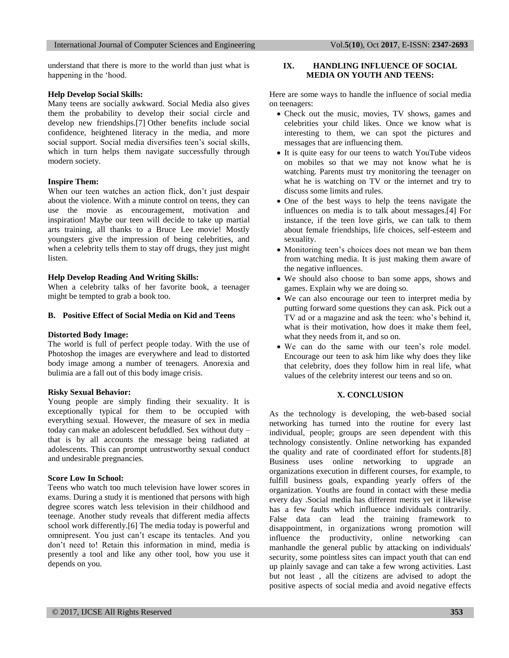#### International Journal of Computer Sciences and Engineering Vol.**5**(**10**), Oct **2017**, E-ISSN: **2347-2693**

understand that there is more to the world than just what is happening in the 'hood.

## **Help Develop Social Skills:**

Many teens are socially awkward. Social Media also gives them the probability to develop their social circle and develop new friendships.[7] Other benefits include social confidence, heightened literacy in the media, and more social support. Social media diversifies teen's social skills, which in turn helps them navigate successfully through modern society.

#### **Inspire Them:**

When our teen watches an action flick, don't just despair about the violence. With a minute control on teens, they can use the movie as encouragement, motivation and inspiration! Maybe our teen will decide to take up martial arts training, all thanks to a Bruce Lee movie! Mostly youngsters give the impression of being celebrities, and when a celebrity tells them to stay off drugs, they just might listen.

## **Help Develop Reading And Writing Skills:**

When a celebrity talks of her favorite book, a teenager might be tempted to grab a book too.

## **B. Positive Effect of Social Media on Kid and Teens**

#### **Distorted Body Image:**

The world is full of perfect people today. With the use of Photoshop the images are everywhere and lead to distorted body image among a number of teenagers. Anorexia and bulimia are a fall out of this body image crisis.

#### **Risky Sexual Behavior:**

Young people are simply finding their sexuality. It is exceptionally typical for them to be occupied with everything sexual. However, the measure of sex in media today can make an adolescent befuddled. Sex without duty – that is by all accounts the message being radiated at adolescents. This can prompt untrustworthy sexual conduct and undesirable pregnancies.

#### **Score Low In School:**

Teens who watch too much television have lower scores in exams. During a study it is mentioned that persons with high degree scores watch less television in their childhood and teenage. Another study reveals that different media affects school work differently.[6] The media today is powerful and omnipresent. You just can't escape its tentacles. And you don't need to! Retain this information in mind, media is presently a tool and like any other tool, how you use it depends on you.

## **IX. HANDLING INFLUENCE OF SOCIAL MEDIA ON YOUTH AND TEENS:**

Here are some ways to handle the influence of social media on teenagers:

- Check out the music, movies, TV shows, games and celebrities your child likes. Once we know what is interesting to them, we can spot the pictures and messages that are influencing them.
- It is quite easy for our teens to watch YouTube videos on mobiles so that we may not know what he is watching. Parents must try monitoring the teenager on what he is watching on TV or the internet and try to discuss some limits and rules.
- One of the best ways to help the teens navigate the influences on media is to talk about messages.[4] For instance, if the teen love girls, we can talk to them about female friendships, life choices, self-esteem and sexuality.
- Monitoring teen's choices does not mean we ban them from watching media. It is just making them aware of the negative influences.
- We should also choose to ban some apps, shows and games. Explain why we are doing so.
- We can also encourage our teen to interpret media by putting forward some questions they can ask. Pick out a TV ad or a magazine and ask the teen: who's behind it, what is their motivation, how does it make them feel, what they needs from it, and so on.
- We can do the same with our teen's role model. Encourage our teen to ask him like why does they like that celebrity, does they follow him in real life, what values of the celebrity interest our teens and so on.

# **X. CONCLUSION**

As the technology is developing, the web-based social networking has turned into the routine for every last individual, people; groups are seen dependent with this technology consistently. Online networking has expanded the quality and rate of coordinated effort for students.[8] Business uses online networking to upgrade an organizations execution in different courses, for example, to fulfill business goals, expanding yearly offers of the organization. Youths are found in contact with these media every day .Social media has different merits yet it likewise has a few faults which influence individuals contrarily. False data can lead the training framework to disappointment, in organizations wrong promotion will influence the productivity, online networking can manhandle the general public by attacking on individuals' security, some pointless sites can impact youth that can end up plainly savage and can take a few wrong activities. Last but not least , all the citizens are advised to adopt the positive aspects of social media and avoid negative effects